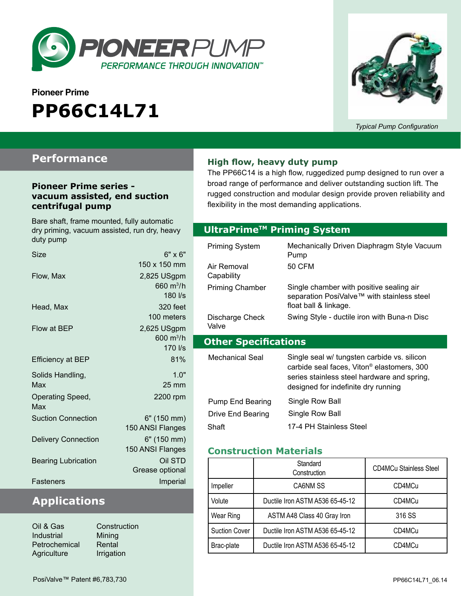

# **Pioneer Prime PP66C14L71**



*Typical Pump Configuration*

### **Performance**

#### **Pioneer Prime series vacuum assisted, end suction centrifugal pump**

Bare shaft, frame mounted, fully automatic dry priming, vacuum assisted, run dry, heavy duty pump

| Size                       | $6" \times 6"$      |
|----------------------------|---------------------|
|                            | 150 x 150 mm        |
| Flow, Max                  | 2,825 USgpm         |
|                            | 660 $m^3/h$         |
|                            | 180 l/s             |
| Head, Max                  | 320 feet            |
|                            | 100 meters          |
| Flow at BEP                | 2,625 USgpm         |
|                            | $600 \text{ m}^3/h$ |
|                            | 170 l/s             |
| <b>Efficiency at BEP</b>   | 81%                 |
| Solids Handling,           | 1.0"                |
| Max                        | $25 \text{ mm}$     |
| Operating Speed,           | 2200 rpm            |
| Max                        |                     |
| <b>Suction Connection</b>  | 6" (150 mm)         |
|                            | 150 ANSI Flanges    |
| <b>Delivery Connection</b> | 6" (150 mm)         |
|                            | 150 ANSI Flanges    |
| <b>Bearing Lubrication</b> | Oil STD             |
|                            | Grease optional     |
| Fasteners                  | Imperial            |

### **Applications**

| Construction |
|--------------|
|              |
|              |
|              |
|              |

**High flow, heavy duty pump**

The PP66C14 is a high flow, ruggedized pump designed to run over a broad range of performance and deliver outstanding suction lift. The rugged construction and modular design provide proven reliability and flexibility in the most demanding applications.

#### **Optional Priming System UltraPrimeTM Priming System**

| <b>Priming System</b><br>Air Removal<br>Capability | Mechanically Driven Diaphragm Style Vacuum<br>Pump<br>50 CFM                                                                                                                                |
|----------------------------------------------------|---------------------------------------------------------------------------------------------------------------------------------------------------------------------------------------------|
| <b>Priming Chamber</b>                             | Single chamber with positive sealing air<br>separation PosiValve™ with stainless steel<br>float ball & linkage.                                                                             |
| Discharge Check<br>Valve                           | Swing Style - ductile iron with Buna-n Disc                                                                                                                                                 |
|                                                    |                                                                                                                                                                                             |
| <b>Other Specifications</b>                        |                                                                                                                                                                                             |
| Mechanical Seal                                    | Single seal w/ tungsten carbide vs. silicon<br>carbide seal faces, Viton <sup>®</sup> elastomers, 300<br>series stainless steel hardware and spring,<br>designed for indefinite dry running |
| Pump End Bearing<br>Drive End Bearing              | Single Row Ball<br>Single Row Ball                                                                                                                                                          |

#### **Construction Materials**

|                      | Standard<br>Construction        | <b>CD4MCu Stainless Steel</b> |  |
|----------------------|---------------------------------|-------------------------------|--|
| Impeller             | CA6NM SS                        | CD4MCu                        |  |
| Volute               | Ductile Iron ASTM A536 65-45-12 | CD4MCu                        |  |
| Wear Ring            | ASTM A48 Class 40 Gray Iron     | 316 SS                        |  |
| <b>Suction Cover</b> | Ductile Iron ASTM A536 65-45-12 | CD4MCu                        |  |
| Brac-plate           | Ductile Iron ASTM A536 65-45-12 | CD4MCu                        |  |